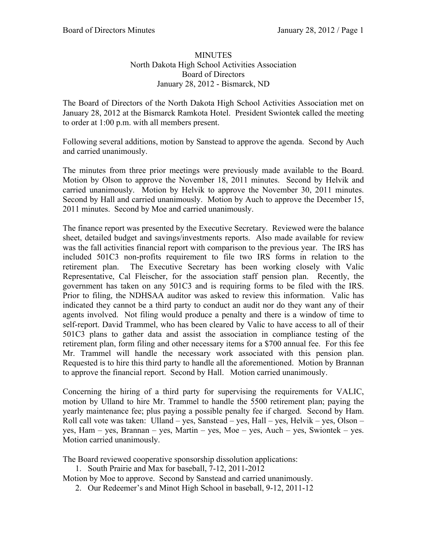## **MINUTES** North Dakota High School Activities Association Board of Directors January 28, 2012 - Bismarck, ND

The Board of Directors of the North Dakota High School Activities Association met on January 28, 2012 at the Bismarck Ramkota Hotel. President Swiontek called the meeting to order at 1:00 p.m. with all members present.

Following several additions, motion by Sanstead to approve the agenda. Second by Auch and carried unanimously.

The minutes from three prior meetings were previously made available to the Board. Motion by Olson to approve the November 18, 2011 minutes. Second by Helvik and carried unanimously. Motion by Helvik to approve the November 30, 2011 minutes. Second by Hall and carried unanimously. Motion by Auch to approve the December 15, 2011 minutes. Second by Moe and carried unanimously.

The finance report was presented by the Executive Secretary. Reviewed were the balance sheet, detailed budget and savings/investments reports. Also made available for review was the fall activities financial report with comparison to the previous year. The IRS has included 501C3 non-profits requirement to file two IRS forms in relation to the retirement plan. The Executive Secretary has been working closely with Valic Representative, Cal Fleischer, for the association staff pension plan. Recently, the government has taken on any 501C3 and is requiring forms to be filed with the IRS. Prior to filing, the NDHSAA auditor was asked to review this information. Valic has indicated they cannot be a third party to conduct an audit nor do they want any of their agents involved. Not filing would produce a penalty and there is a window of time to self-report. David Trammel, who has been cleared by Valic to have access to all of their 501C3 plans to gather data and assist the association in compliance testing of the retirement plan, form filing and other necessary items for a \$700 annual fee. For this fee Mr. Trammel will handle the necessary work associated with this pension plan. Requested is to hire this third party to handle all the aforementioned. Motion by Brannan to approve the financial report. Second by Hall. Motion carried unanimously.

Concerning the hiring of a third party for supervising the requirements for VALIC, motion by Ulland to hire Mr. Trammel to handle the 5500 retirement plan; paying the yearly maintenance fee; plus paying a possible penalty fee if charged. Second by Ham. Roll call vote was taken: Ulland – yes, Sanstead – yes, Hall – yes, Helvik – yes, Olson – yes, Ham – yes, Brannan – yes, Martin – yes, Moe – yes, Auch – yes, Swiontek – yes. Motion carried unanimously.

The Board reviewed cooperative sponsorship dissolution applications:

1. South Prairie and Max for baseball, 7-12, 2011-2012

Motion by Moe to approve. Second by Sanstead and carried unanimously.

2. Our Redeemer's and Minot High School in baseball, 9-12, 2011-12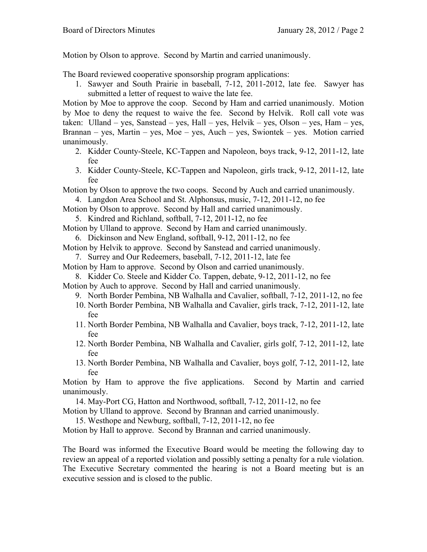Motion by Olson to approve. Second by Martin and carried unanimously.

The Board reviewed cooperative sponsorship program applications:

1. Sawyer and South Prairie in baseball, 7-12, 2011-2012, late fee. Sawyer has submitted a letter of request to waive the late fee.

Motion by Moe to approve the coop. Second by Ham and carried unanimously. Motion by Moe to deny the request to waive the fee. Second by Helvik. Roll call vote was taken: Ulland – yes, Sanstead – yes, Hall – yes, Helvik – yes, Olson – yes, Ham – yes, Brannan – yes, Martin – yes, Moe – yes, Auch – yes, Swiontek – yes. Motion carried unanimously.

- 2. Kidder County-Steele, KC-Tappen and Napoleon, boys track, 9-12, 2011-12, late fee
- 3. Kidder County-Steele, KC-Tappen and Napoleon, girls track, 9-12, 2011-12, late fee
- Motion by Olson to approve the two coops. Second by Auch and carried unanimously.
	- 4. Langdon Area School and St. Alphonsus, music, 7-12, 2011-12, no fee
- Motion by Olson to approve. Second by Hall and carried unanimously.

5. Kindred and Richland, softball, 7-12, 2011-12, no fee

- Motion by Ulland to approve. Second by Ham and carried unanimously.
	- 6. Dickinson and New England, softball, 9-12, 2011-12, no fee

Motion by Helvik to approve. Second by Sanstead and carried unanimously.

7. Surrey and Our Redeemers, baseball, 7-12, 2011-12, late fee

Motion by Ham to approve. Second by Olson and carried unanimously.

8. Kidder Co. Steele and Kidder Co. Tappen, debate, 9-12, 2011-12, no fee

Motion by Auch to approve. Second by Hall and carried unanimously.

- 9. North Border Pembina, NB Walhalla and Cavalier, softball, 7-12, 2011-12, no fee
- 10. North Border Pembina, NB Walhalla and Cavalier, girls track, 7-12, 2011-12, late fee
- 11. North Border Pembina, NB Walhalla and Cavalier, boys track, 7-12, 2011-12, late fee
- 12. North Border Pembina, NB Walhalla and Cavalier, girls golf, 7-12, 2011-12, late fee
- 13. North Border Pembina, NB Walhalla and Cavalier, boys golf, 7-12, 2011-12, late fee

Motion by Ham to approve the five applications. Second by Martin and carried unanimously.

14. May-Port CG, Hatton and Northwood, softball, 7-12, 2011-12, no fee

Motion by Ulland to approve. Second by Brannan and carried unanimously.

15. Westhope and Newburg, softball, 7-12, 2011-12, no fee

Motion by Hall to approve. Second by Brannan and carried unanimously.

The Board was informed the Executive Board would be meeting the following day to review an appeal of a reported violation and possibly setting a penalty for a rule violation. The Executive Secretary commented the hearing is not a Board meeting but is an executive session and is closed to the public.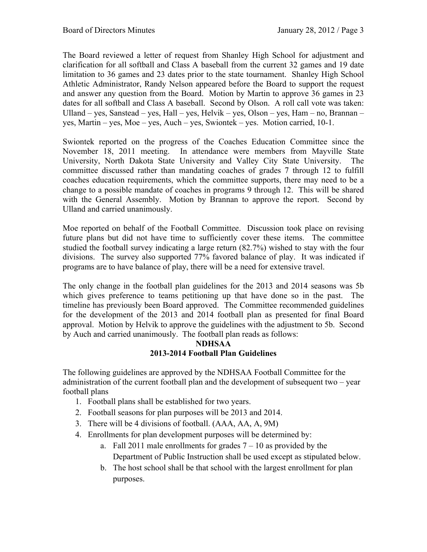The Board reviewed a letter of request from Shanley High School for adjustment and clarification for all softball and Class A baseball from the current 32 games and 19 date limitation to 36 games and 23 dates prior to the state tournament. Shanley High School Athletic Administrator, Randy Nelson appeared before the Board to support the request and answer any question from the Board. Motion by Martin to approve 36 games in 23 dates for all softball and Class A baseball. Second by Olson. A roll call vote was taken: Ulland – yes, Sanstead – yes, Hall – yes, Helvik – yes, Olson – yes, Ham – no, Brannan – yes, Martin – yes, Moe – yes, Auch – yes, Swiontek – yes. Motion carried, 10-1.

Swiontek reported on the progress of the Coaches Education Committee since the November 18, 2011 meeting. In attendance were members from Mayville State University, North Dakota State University and Valley City State University. The committee discussed rather than mandating coaches of grades 7 through 12 to fulfill coaches education requirements, which the committee supports, there may need to be a change to a possible mandate of coaches in programs 9 through 12. This will be shared with the General Assembly. Motion by Brannan to approve the report. Second by Ulland and carried unanimously.

Moe reported on behalf of the Football Committee. Discussion took place on revising future plans but did not have time to sufficiently cover these items. The committee studied the football survey indicating a large return (82.7%) wished to stay with the four divisions. The survey also supported 77% favored balance of play. It was indicated if programs are to have balance of play, there will be a need for extensive travel.

The only change in the football plan guidelines for the 2013 and 2014 seasons was 5b which gives preference to teams petitioning up that have done so in the past. The timeline has previously been Board approved. The Committee recommended guidelines for the development of the 2013 and 2014 football plan as presented for final Board approval. Motion by Helvik to approve the guidelines with the adjustment to 5b. Second by Auch and carried unanimously. The football plan reads as follows:

## **NDHSAA 2013-2014 Football Plan Guidelines**

The following guidelines are approved by the NDHSAA Football Committee for the administration of the current football plan and the development of subsequent two – year football plans

- 1. Football plans shall be established for two years.
- 2. Football seasons for plan purposes will be 2013 and 2014.
- 3. There will be 4 divisions of football. (AAA, AA, A, 9M)
- 4. Enrollments for plan development purposes will be determined by:
	- a. Fall 2011 male enrollments for grades  $7 10$  as provided by the Department of Public Instruction shall be used except as stipulated below.
	- b. The host school shall be that school with the largest enrollment for plan purposes.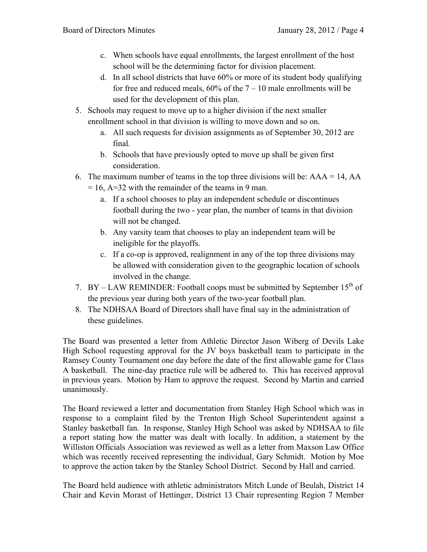- c. When schools have equal enrollments, the largest enrollment of the host school will be the determining factor for division placement.
- d. In all school districts that have 60% or more of its student body qualifying for free and reduced meals,  $60\%$  of the  $7 - 10$  male enrollments will be used for the development of this plan.
- 5. Schools may request to move up to a higher division if the next smaller enrollment school in that division is willing to move down and so on.
	- a. All such requests for division assignments as of September 30, 2012 are final.
	- b. Schools that have previously opted to move up shall be given first consideration.
- 6. The maximum number of teams in the top three divisions will be:  $AAA = 14$ ,  $AA$ 
	- $= 16$ , A=32 with the remainder of the teams in 9 man.
		- a. If a school chooses to play an independent schedule or discontinues football during the two - year plan, the number of teams in that division will not be changed.
		- b. Any varsity team that chooses to play an independent team will be ineligible for the playoffs.
		- c. If a co-op is approved, realignment in any of the top three divisions may be allowed with consideration given to the geographic location of schools involved in the change.
- 7. BY LAW REMINDER: Football coops must be submitted by September  $15<sup>th</sup>$  of the previous year during both years of the two-year football plan.
- 8. The NDHSAA Board of Directors shall have final say in the administration of these guidelines.

The Board was presented a letter from Athletic Director Jason Wiberg of Devils Lake High School requesting approval for the JV boys basketball team to participate in the Ramsey County Tournament one day before the date of the first allowable game for Class A basketball. The nine-day practice rule will be adhered to. This has received approval in previous years. Motion by Ham to approve the request. Second by Martin and carried unanimously.

The Board reviewed a letter and documentation from Stanley High School which was in response to a complaint filed by the Trenton High School Superintendent against a Stanley basketball fan. In response, Stanley High School was asked by NDHSAA to file a report stating how the matter was dealt with locally. In addition, a statement by the Williston Officials Association was reviewed as well as a letter from Maxson Law Office which was recently received representing the individual, Gary Schmidt. Motion by Moe to approve the action taken by the Stanley School District. Second by Hall and carried.

The Board held audience with athletic administrators Mitch Lunde of Beulah, District 14 Chair and Kevin Morast of Hettinger, District 13 Chair representing Region 7 Member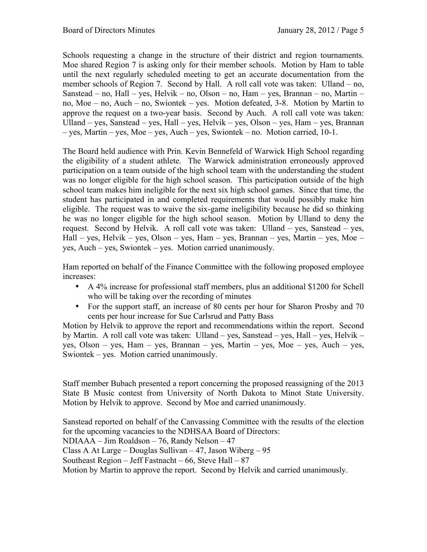Schools requesting a change in the structure of their district and region tournaments. Moe shared Region 7 is asking only for their member schools. Motion by Ham to table until the next regularly scheduled meeting to get an accurate documentation from the member schools of Region 7. Second by Hall. A roll call vote was taken: Ulland – no, Sanstead – no, Hall – yes, Helvik – no, Olson – no, Ham – yes, Brannan – no, Martin – no, Moe – no, Auch – no, Swiontek – yes. Motion defeated, 3-8. Motion by Martin to approve the request on a two-year basis. Second by Auch. A roll call vote was taken: Ulland – yes, Sanstead – yes, Hall – yes, Helvik – yes, Olson – yes, Ham – yes, Brannan – yes, Martin – yes, Moe – yes, Auch – yes, Swiontek – no. Motion carried, 10-1.

The Board held audience with Prin. Kevin Bennefeld of Warwick High School regarding the eligibility of a student athlete. The Warwick administration erroneously approved participation on a team outside of the high school team with the understanding the student was no longer eligible for the high school season. This participation outside of the high school team makes him ineligible for the next six high school games. Since that time, the student has participated in and completed requirements that would possibly make him eligible. The request was to waive the six-game ineligibility because he did so thinking he was no longer eligible for the high school season. Motion by Ulland to deny the request. Second by Helvik. A roll call vote was taken: Ulland – yes, Sanstead – yes, Hall – yes, Helvik – yes, Olson – yes, Ham – yes, Brannan – yes, Martin – yes, Moe – yes, Auch – yes, Swiontek – yes. Motion carried unanimously.

Ham reported on behalf of the Finance Committee with the following proposed employee increases:

- A 4% increase for professional staff members, plus an additional \$1200 for Schell who will be taking over the recording of minutes
- For the support staff, an increase of 80 cents per hour for Sharon Prosby and 70 cents per hour increase for Sue Carlsrud and Patty Bass

Motion by Helvik to approve the report and recommendations within the report. Second by Martin. A roll call vote was taken: Ulland – yes, Sanstead – yes, Hall – yes, Helvik – yes, Olson – yes, Ham – yes, Brannan – yes, Martin – yes, Moe – yes, Auch – yes, Swiontek – yes. Motion carried unanimously.

Staff member Bubach presented a report concerning the proposed reassigning of the 2013 State B Music contest from University of North Dakota to Minot State University. Motion by Helvik to approve. Second by Moe and carried unanimously.

Sanstead reported on behalf of the Canvassing Committee with the results of the election for the upcoming vacancies to the NDHSAA Board of Directors: NDIAAA – Jim Roaldson – 76, Randy Nelson – 47 Class A At Large – Douglas Sullivan – 47, Jason Wiberg – 95 Southeast Region – Jeff Fastnacht –  $66$ , Steve Hall – 87 Motion by Martin to approve the report. Second by Helvik and carried unanimously.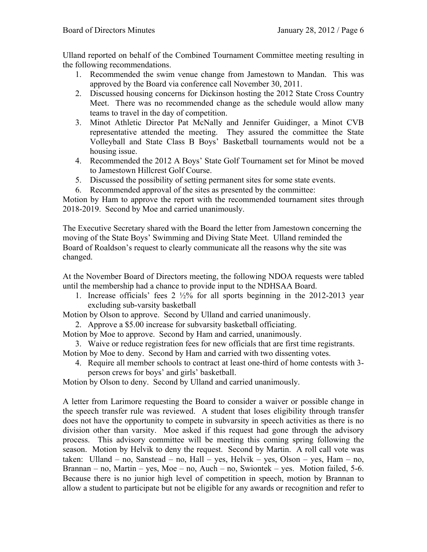Ulland reported on behalf of the Combined Tournament Committee meeting resulting in the following recommendations.

- 1. Recommended the swim venue change from Jamestown to Mandan. This was approved by the Board via conference call November 30, 2011.
- 2. Discussed housing concerns for Dickinson hosting the 2012 State Cross Country Meet. There was no recommended change as the schedule would allow many teams to travel in the day of competition.
- 3. Minot Athletic Director Pat McNally and Jennifer Guidinger, a Minot CVB representative attended the meeting. They assured the committee the State Volleyball and State Class B Boys' Basketball tournaments would not be a housing issue.
- 4. Recommended the 2012 A Boys' State Golf Tournament set for Minot be moved to Jamestown Hillcrest Golf Course.
- 5. Discussed the possibility of setting permanent sites for some state events.
- 6. Recommended approval of the sites as presented by the committee:

Motion by Ham to approve the report with the recommended tournament sites through 2018-2019. Second by Moe and carried unanimously.

The Executive Secretary shared with the Board the letter from Jamestown concerning the moving of the State Boys' Swimming and Diving State Meet. Ulland reminded the Board of Roaldson's request to clearly communicate all the reasons why the site was changed.

At the November Board of Directors meeting, the following NDOA requests were tabled until the membership had a chance to provide input to the NDHSAA Board.

1. Increase officials' fees  $2\frac{1}{2}\%$  for all sports beginning in the 2012-2013 year excluding sub-varsity basketball

Motion by Olson to approve. Second by Ulland and carried unanimously.

2. Approve a \$5.00 increase for subvarsity basketball officiating.

Motion by Moe to approve. Second by Ham and carried, unanimously.

3. Waive or reduce registration fees for new officials that are first time registrants. Motion by Moe to deny. Second by Ham and carried with two dissenting votes.

4. Require all member schools to contract at least one-third of home contests with 3 person crews for boys' and girls' basketball.

Motion by Olson to deny. Second by Ulland and carried unanimously.

A letter from Larimore requesting the Board to consider a waiver or possible change in the speech transfer rule was reviewed. A student that loses eligibility through transfer does not have the opportunity to compete in subvarsity in speech activities as there is no division other than varsity. Moe asked if this request had gone through the advisory process. This advisory committee will be meeting this coming spring following the season. Motion by Helvik to deny the request. Second by Martin. A roll call vote was taken: Ulland – no, Sanstead – no, Hall – yes, Helvik – yes, Olson – yes, Ham – no, Brannan – no, Martin – yes, Moe – no, Auch – no, Swiontek – yes. Motion failed, 5-6. Because there is no junior high level of competition in speech, motion by Brannan to allow a student to participate but not be eligible for any awards or recognition and refer to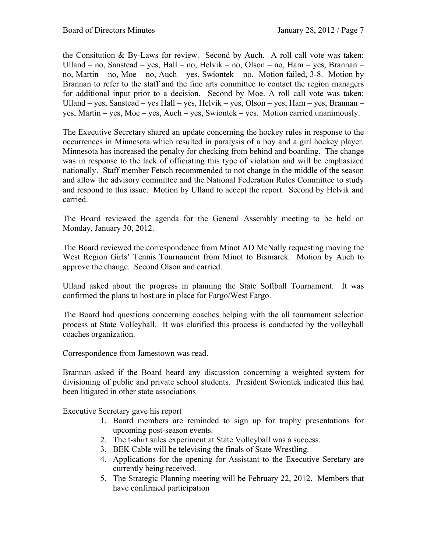the Consitution & By-Laws for review. Second by Auch. A roll call vote was taken: Ulland – no, Sanstead – yes, Hall – no, Helvik – no, Olson – no, Ham – yes, Brannan – no, Martin – no, Moe – no, Auch – yes, Swiontek – no. Motion failed, 3-8. Motion by Brannan to refer to the staff and the fine arts committee to contact the region managers for additional input prior to a decision. Second by Moe. A roll call vote was taken: Ulland – yes, Sanstead – yes Hall – yes, Helvik – yes, Olson – yes, Ham – yes, Brannan – yes, Martin – yes, Moe – yes, Auch – yes, Swiontek – yes. Motion carried unanimously.

The Executive Secretary shared an update concerning the hockey rules in response to the occurrences in Minnesota which resulted in paralysis of a boy and a girl hockey player. Minnesota has increased the penalty for checking from behind and boarding. The change was in response to the lack of officiating this type of violation and will be emphasized nationally. Staff member Fetsch recommended to not change in the middle of the season and allow the advisory committee and the National Federation Rules Committee to study and respond to this issue. Motion by Ulland to accept the report. Second by Helvik and carried.

The Board reviewed the agenda for the General Assembly meeting to be held on Monday, January 30, 2012.

The Board reviewed the correspondence from Minot AD McNally requesting moving the West Region Girls' Tennis Tournament from Minot to Bismarck. Motion by Auch to approve the change. Second Olson and carried.

Ulland asked about the progress in planning the State Softball Tournament. It was confirmed the plans to host are in place for Fargo/West Fargo.

The Board had questions concerning coaches helping with the all tournament selection process at State Volleyball. It was clarified this process is conducted by the volleyball coaches organization.

Correspondence from Jamestown was read.

Brannan asked if the Board heard any discussion concerning a weighted system for divisioning of public and private school students. President Swiontek indicated this had been litigated in other state associations

Executive Secretary gave his report

- 1. Board members are reminded to sign up for trophy presentations for upcoming post-season events.
- 2. The t-shirt sales experiment at State Volleyball was a success.
- 3. BEK Cable will be televising the finals of State Wrestling.
- 4. Applications for the opening for Assistant to the Executive Seretary are currently being received.
- 5. The Strategic Planning meeting will be February 22, 2012. Members that have confirmed participation